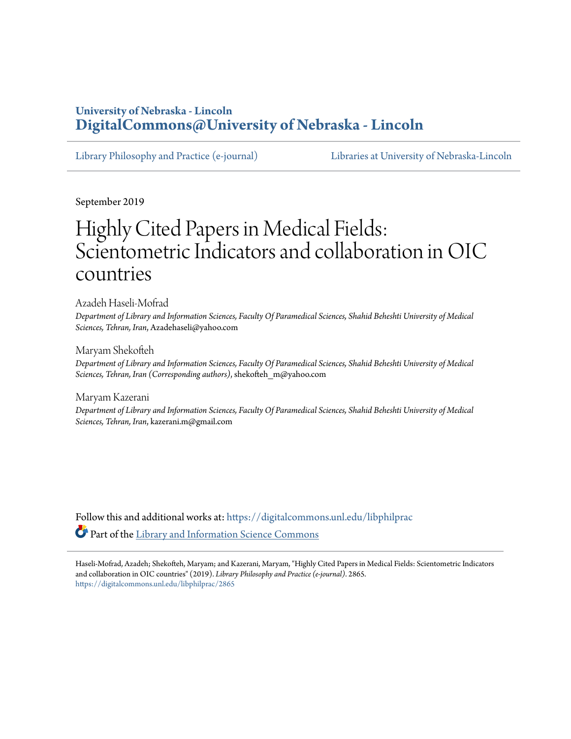### **University of Nebraska - Lincoln [DigitalCommons@University of Nebraska - Lincoln](https://digitalcommons.unl.edu/?utm_source=digitalcommons.unl.edu%2Flibphilprac%2F2865&utm_medium=PDF&utm_campaign=PDFCoverPages)**

[Library Philosophy and Practice \(e-journal\)](https://digitalcommons.unl.edu/libphilprac?utm_source=digitalcommons.unl.edu%2Flibphilprac%2F2865&utm_medium=PDF&utm_campaign=PDFCoverPages) [Libraries at University of Nebraska-Lincoln](https://digitalcommons.unl.edu/libraries?utm_source=digitalcommons.unl.edu%2Flibphilprac%2F2865&utm_medium=PDF&utm_campaign=PDFCoverPages)

September 2019

# Highly Cited Papers in Medical Fields: Scientometric Indicators and collaboration in OIC countries

Azadeh Haseli-Mofrad

*Department of Library and Information Sciences, Faculty Of Paramedical Sciences, Shahid Beheshti University of Medical Sciences, Tehran, Iran*, Azadehaseli@yahoo.com

Maryam Shekofteh

*Department of Library and Information Sciences, Faculty Of Paramedical Sciences, Shahid Beheshti University of Medical Sciences, Tehran, Iran (Corresponding authors)*, shekofteh\_m@yahoo.com

Maryam Kazerani

*Department of Library and Information Sciences, Faculty Of Paramedical Sciences, Shahid Beheshti University of Medical Sciences, Tehran, Iran*, kazerani.m@gmail.com

Follow this and additional works at: [https://digitalcommons.unl.edu/libphilprac](https://digitalcommons.unl.edu/libphilprac?utm_source=digitalcommons.unl.edu%2Flibphilprac%2F2865&utm_medium=PDF&utm_campaign=PDFCoverPages) Part of the [Library and Information Science Commons](http://network.bepress.com/hgg/discipline/1018?utm_source=digitalcommons.unl.edu%2Flibphilprac%2F2865&utm_medium=PDF&utm_campaign=PDFCoverPages)

Haseli-Mofrad, Azadeh; Shekofteh, Maryam; and Kazerani, Maryam, "Highly Cited Papers in Medical Fields: Scientometric Indicators and collaboration in OIC countries" (2019). *Library Philosophy and Practice (e-journal)*. 2865. [https://digitalcommons.unl.edu/libphilprac/2865](https://digitalcommons.unl.edu/libphilprac/2865?utm_source=digitalcommons.unl.edu%2Flibphilprac%2F2865&utm_medium=PDF&utm_campaign=PDFCoverPages)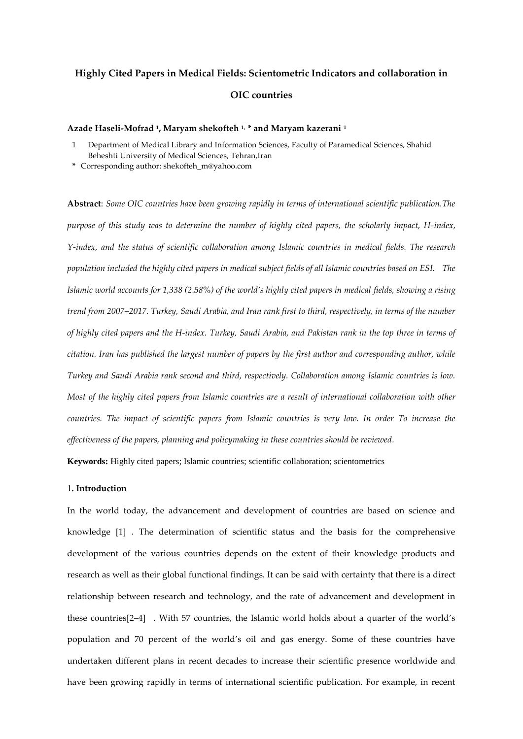### **Highly Cited Papers in Medical Fields: Scientometric Indicators and collaboration in OIC countries**

#### **Azade Haseli-Mofrad <sup>1</sup> , Maryam shekofteh 1, \* and Maryam kazerani <sup>1</sup>**

- 1 Department of Medical Library and Information Sciences, Faculty of Paramedical Sciences, Shahid Beheshti University of Medical Sciences, Tehran,Iran
- **\*** Corresponding author: shekofteh\_m@yahoo.com

**Abstract**: *Some OIC countries have been growing rapidly in terms of international scientific publication.The purpose of this study was to determine the number of highly cited papers, the scholarly impact, H-index, Y-index, and the status of scientific collaboration among Islamic countries in medical fields. The research population included the highly cited papers in medical subject fields of all Islamic countries based on ESI. The Islamic world accounts for 1,338 (2.58%) of the world's highly cited papers in medical fields, showing a rising trend from 2007–2017. Turkey, Saudi Arabia, and Iran rank first to third, respectively, in terms of the number of highly cited papers and the H-index. Turkey, Saudi Arabia, and Pakistan rank in the top three in terms of citation. Iran has published the largest number of papers by the first author and corresponding author, while Turkey and Saudi Arabia rank second and third, respectively. Collaboration among Islamic countries is low. Most of the highly cited papers from Islamic countries are a result of international collaboration with other countries. The impact of scientific papers from Islamic countries is very low. In order To increase the effectiveness of the papers, planning and policymaking in these countries should be reviewed.*

**Keywords:** Highly cited papers; Islamic countries; scientific collaboration; scientometrics

#### 1**. Introduction**

In the world today, the advancement and development of countries are based on science and knowledge [1] . The determination of scientific status and the basis for the comprehensive development of the various countries depends on the extent of their knowledge products and research as well as their global functional findings. It can be said with certainty that there is a direct relationship between research and technology, and the rate of advancement and development in these countries[2–4] . With 57 countries, the Islamic world holds about a quarter of the world's population and 70 percent of the world's oil and gas energy. Some of these countries have undertaken different plans in recent decades to increase their scientific presence worldwide and have been growing rapidly in terms of international scientific publication. For example, in recent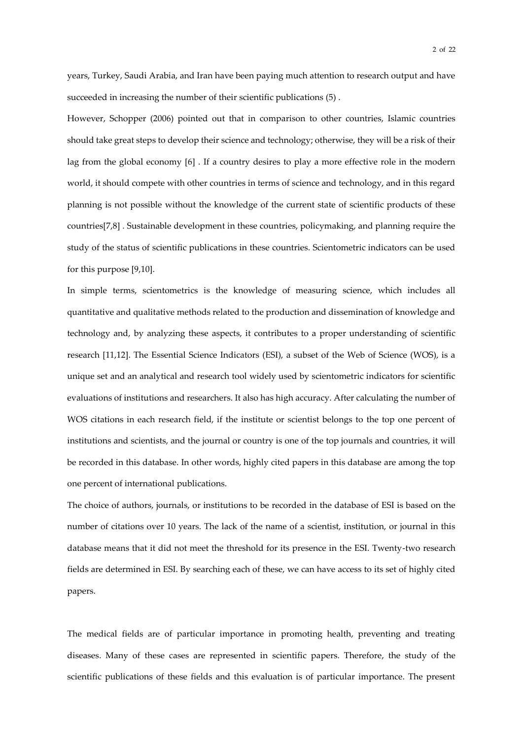years, Turkey, Saudi Arabia, and Iran have been paying much attention to research output and have succeeded in increasing the number of their scientific publications (5) .

However, Schopper (2006) pointed out that in comparison to other countries, Islamic countries should take great steps to develop their science and technology; otherwise, they will be a risk of their lag from the global economy [6] . If a country desires to play a more effective role in the modern world, it should compete with other countries in terms of science and technology, and in this regard planning is not possible without the knowledge of the current state of scientific products of these countries[7,8] . Sustainable development in these countries, policymaking, and planning require the study of the status of scientific publications in these countries. Scientometric indicators can be used for this purpose [9,10].

In simple terms, scientometrics is the knowledge of measuring science, which includes all quantitative and qualitative methods related to the production and dissemination of knowledge and technology and, by analyzing these aspects, it contributes to a proper understanding of scientific research [11,12]. The Essential Science Indicators (ESI), a subset of the Web of Science (WOS), is a unique set and an analytical and research tool widely used by scientometric indicators for scientific evaluations of institutions and researchers. It also has high accuracy. After calculating the number of WOS citations in each research field, if the institute or scientist belongs to the top one percent of institutions and scientists, and the journal or country is one of the top journals and countries, it will be recorded in this database. In other words, highly cited papers in this database are among the top one percent of international publications.

The choice of authors, journals, or institutions to be recorded in the database of ESI is based on the number of citations over 10 years. The lack of the name of a scientist, institution, or journal in this database means that it did not meet the threshold for its presence in the ESI. Twenty-two research fields are determined in ESI. By searching each of these, we can have access to its set of highly cited papers.

The medical fields are of particular importance in promoting health, preventing and treating diseases. Many of these cases are represented in scientific papers. Therefore, the study of the scientific publications of these fields and this evaluation is of particular importance. The present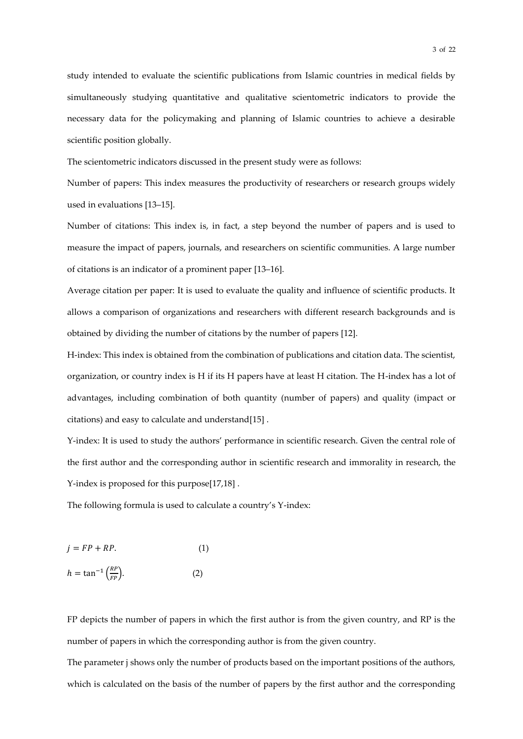study intended to evaluate the scientific publications from Islamic countries in medical fields by simultaneously studying quantitative and qualitative scientometric indicators to provide the necessary data for the policymaking and planning of Islamic countries to achieve a desirable scientific position globally.

The scientometric indicators discussed in the present study were as follows:

Number of papers: This index measures the productivity of researchers or research groups widely used in evaluations [13–15].

Number of citations: This index is, in fact, a step beyond the number of papers and is used to measure the impact of papers, journals, and researchers on scientific communities. A large number of citations is an indicator of a prominent paper [13–16].

Average citation per paper: It is used to evaluate the quality and influence of scientific products. It allows a comparison of organizations and researchers with different research backgrounds and is obtained by dividing the number of citations by the number of papers [12].

H-index: This index is obtained from the combination of publications and citation data. The scientist, organization, or country index is H if its H papers have at least H citation. The H-index has a lot of advantages, including combination of both quantity (number of papers) and quality (impact or citations) and easy to calculate and understand[15] .

Y-index: It is used to study the authors' performance in scientific research. Given the central role of the first author and the corresponding author in scientific research and immorality in research, the Y-index is proposed for this purpose[17,18] .

The following formula is used to calculate a country's Y-index:

$$
j = FP + RP.
$$
 (1)  

$$
h = \tan^{-1}\left(\frac{RP}{FP}\right).
$$
 (2)

FP depicts the number of papers in which the first author is from the given country, and RP is the number of papers in which the corresponding author is from the given country.

The parameter j shows only the number of products based on the important positions of the authors, which is calculated on the basis of the number of papers by the first author and the corresponding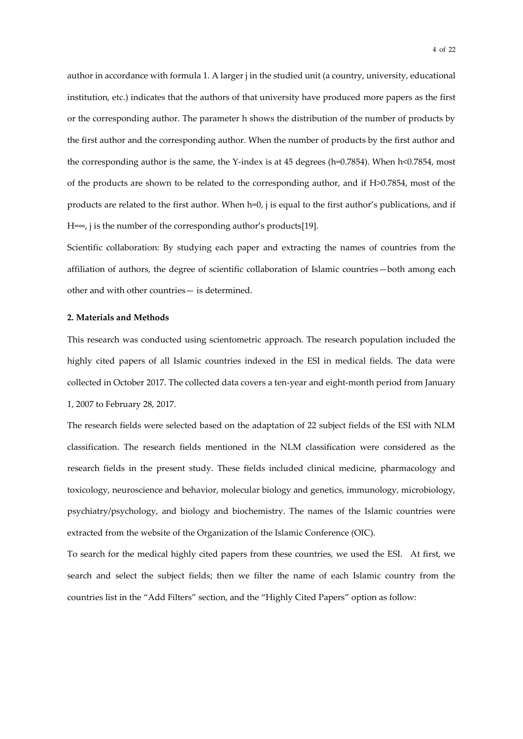author in accordance with formula 1. A larger j in the studied unit (a country, university, educational institution, etc.) indicates that the authors of that university have produced more papers as the first or the corresponding author. The parameter h shows the distribution of the number of products by the first author and the corresponding author. When the number of products by the first author and the corresponding author is the same, the Y-index is at 45 degrees (h=0.7854). When h<0.7854, most of the products are shown to be related to the corresponding author, and if H>0.7854, most of the products are related to the first author. When h=0, j is equal to the first author's publications, and if  $H=\infty$ , j is the number of the corresponding author's products[19].

Scientific collaboration: By studying each paper and extracting the names of countries from the affiliation of authors, the degree of scientific collaboration of Islamic countries—both among each other and with other countries— is determined.

#### **2. Materials and Methods**

This research was conducted using scientometric approach. The research population included the highly cited papers of all Islamic countries indexed in the ESI in medical fields. The data were collected in October 2017. The collected data covers a ten-year and eight-month period from January 1, 2007 to February 28, 2017.

The research fields were selected based on the adaptation of 22 subject fields of the ESI with NLM classification. The research fields mentioned in the NLM classification were considered as the research fields in the present study. These fields included clinical medicine, pharmacology and toxicology, neuroscience and behavior, molecular biology and genetics, immunology, microbiology, psychiatry/psychology, and biology and biochemistry. The names of the Islamic countries were extracted from the website of the Organization of the Islamic Conference (OIC).

To search for the medical highly cited papers from these countries, we used the ESI. At first, we search and select the subject fields; then we filter the name of each Islamic country from the countries list in the "Add Filters" section, and the "Highly Cited Papers" option as follow: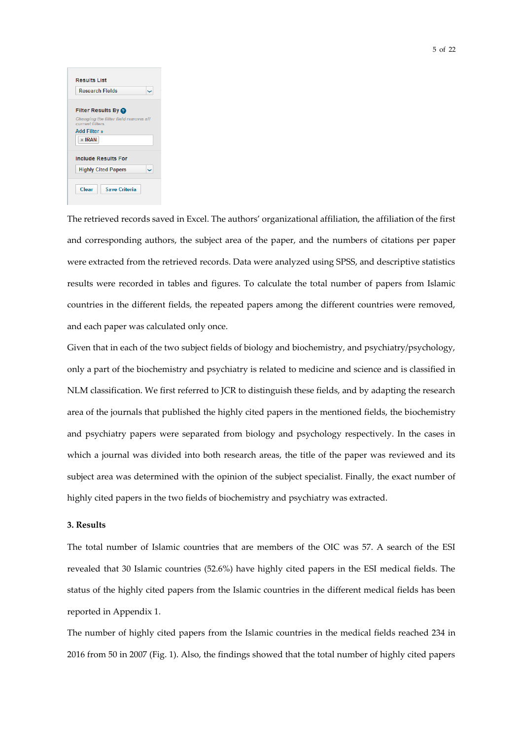| <b>Results List</b>                                       |
|-----------------------------------------------------------|
| <b>Research Fields</b>                                    |
| <b>Filter Results By @</b>                                |
| Changing the filter field removes all<br>current filters. |
| Add Filter »                                              |
| $*$ IRAN                                                  |
| <b>Include Results For</b>                                |
| <b>Highly Cited Papers</b>                                |
|                                                           |
| Clear<br><b>Save Criteria</b>                             |

The retrieved records saved in Excel. The authors' organizational affiliation, the affiliation of the first and corresponding authors, the subject area of the paper, and the numbers of citations per paper were extracted from the retrieved records. Data were analyzed using SPSS, and descriptive statistics results were recorded in tables and figures. To calculate the total number of papers from Islamic countries in the different fields, the repeated papers among the different countries were removed, and each paper was calculated only once.

Given that in each of the two subject fields of biology and biochemistry, and psychiatry/psychology, only a part of the biochemistry and psychiatry is related to medicine and science and is classified in NLM classification. We first referred to JCR to distinguish these fields, and by adapting the research area of the journals that published the highly cited papers in the mentioned fields, the biochemistry and psychiatry papers were separated from biology and psychology respectively. In the cases in which a journal was divided into both research areas, the title of the paper was reviewed and its subject area was determined with the opinion of the subject specialist. Finally, the exact number of highly cited papers in the two fields of biochemistry and psychiatry was extracted.

#### **3. Results**

The total number of Islamic countries that are members of the OIC was 57. A search of the ESI revealed that 30 Islamic countries (52.6%) have highly cited papers in the ESI medical fields. The status of the highly cited papers from the Islamic countries in the different medical fields has been reported in Appendix 1.

The number of highly cited papers from the Islamic countries in the medical fields reached 234 in 2016 from 50 in 2007 (Fig. 1). Also, the findings showed that the total number of highly cited papers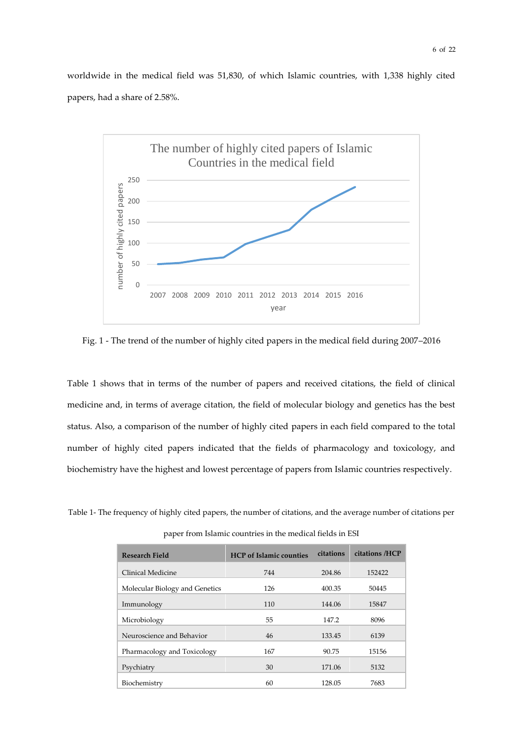worldwide in the medical field was 51,830, of which Islamic countries, with 1,338 highly cited papers, had a share of 2.58%.



Fig. 1 - The trend of the number of highly cited papers in the medical field during 2007–2016

Table 1 shows that in terms of the number of papers and received citations, the field of clinical medicine and, in terms of average citation, the field of molecular biology and genetics has the best status. Also, a comparison of the number of highly cited papers in each field compared to the total number of highly cited papers indicated that the fields of pharmacology and toxicology, and biochemistry have the highest and lowest percentage of papers from Islamic countries respectively.

Table 1- The frequency of highly cited papers, the number of citations, and the average number of citations per

paper from Islamic countries in the medical fields in ESI

| Research Field                 | <b>HCP</b> of Islamic counties | citations | citations /HCP |
|--------------------------------|--------------------------------|-----------|----------------|
| Clinical Medicine              | 744                            | 204.86    | 152422         |
| Molecular Biology and Genetics | 126                            | 400.35    | 50445          |
| Immunology                     | 110                            | 144.06    | 15847          |
| Microbiology                   | 55                             | 147.2     | 8096           |
| Neuroscience and Behavior      | 46                             | 133.45    | 6139           |
| Pharmacology and Toxicology    | 167                            | 90.75     | 15156          |
| Psychiatry                     | 30                             | 171.06    | 5132           |
| Biochemistry                   | 60                             | 128.05    | 7683           |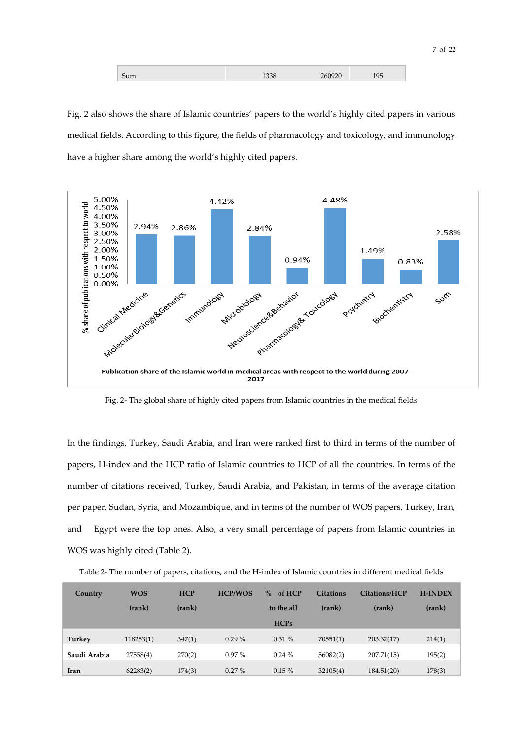| $ -$ |  | $\sim$ $\sim$ |  |
|------|--|---------------|--|
|      |  |               |  |

Fig. 2 also shows the share of Islamic countries' papers to the world's highly cited papers in various medical fields. According to this figure, the fields of pharmacology and toxicology, and immunology have a higher share among the world's highly cited papers.



Fig. 2- The global share of highly cited papers from Islamic countries in the medical fields

In the findings, Turkey, Saudi Arabia, and Iran were ranked first to third in terms of the number of papers, H-index and the HCP ratio of Islamic countries to HCP of all the countries. In terms of the number of citations received, Turkey, Saudi Arabia, and Pakistan, in terms of the average citation per paper, Sudan, Syria, and Mozambique, and in terms of the number of WOS papers, Turkey, Iran, and Egypt were the top ones. Also, a very small percentage of papers from Islamic countries in WOS was highly cited (Table 2).

Table 2- The number of papers, citations, and the H-index of Islamic countries in different medical fields

| Country      | <b>WOS</b> | <b>HCP</b> | <b>HCP/WOS</b> | of HCP<br>$\%$ | <b>Citations</b> | Citations/HCP | <b>H-INDEX</b> |
|--------------|------------|------------|----------------|----------------|------------------|---------------|----------------|
|              | (rank)     | (rank)     |                | to the all     | (rank)           | (rank)        | (rank)         |
|              |            |            |                | <b>HCPs</b>    |                  |               |                |
| Turkey       | 118253(1)  | 347(1)     | $0.29\%$       | 0.31%          | 70551(1)         | 203.32(17)    | 214(1)         |
| Saudi Arabia | 27558(4)   | 270(2)     | $0.97\%$       | $0.24 \%$      | 56082(2)         | 207.71(15)    | 195(2)         |
| Iran         | 62283(2)   | 174(3)     | $0.27\%$       | $0.15\%$       | 32105(4)         | 184.51(20)    | 178(3)         |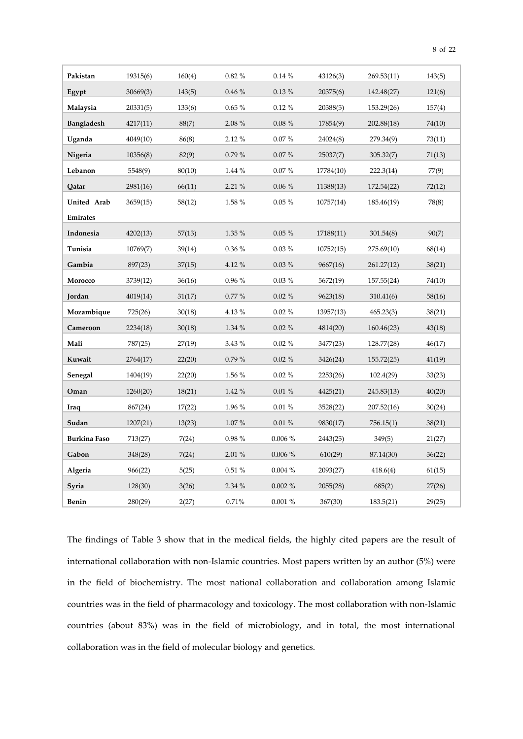| Pakistan            | 19315(6) | 160(4) | 0.82%  | 0.14%      | 43126(3)  | 269.53(11) | 143(5) |
|---------------------|----------|--------|--------|------------|-----------|------------|--------|
| Egypt               | 30669(3) | 143(5) | 0.46%  | $0.13\%$   | 20375(6)  | 142.48(27) | 121(6) |
| Malaysia            | 20331(5) | 133(6) | 0.65%  | $0.12 \%$  | 20388(5)  | 153.29(26) | 157(4) |
| <b>Bangladesh</b>   | 4217(11) | 88(7)  | 2.08 % | $0.08 \%$  | 17854(9)  | 202.88(18) | 74(10) |
| Uganda              | 4049(10) | 86(8)  | 2.12%  | 0.07%      | 24024(8)  | 279.34(9)  | 73(11) |
| Nigeria             | 10356(8) | 82(9)  | 0.79%  | $0.07\%$   | 25037(7)  | 305.32(7)  | 71(13) |
| Lebanon             | 5548(9)  | 80(10) | 1.44 % | 0.07%      | 17784(10) | 222.3(14)  | 77(9)  |
| Qatar               | 2981(16) | 66(11) | 2.21 % | $0.06~\%$  | 11388(13) | 172.54(22) | 72(12) |
| United Arab         | 3659(15) | 58(12) | 1.58 % | $0.05\%$   | 10757(14) | 185.46(19) | 78(8)  |
| <b>Emirates</b>     |          |        |        |            |           |            |        |
| Indonesia           | 4202(13) | 57(13) | 1.35 % | $0.05 \%$  | 17188(11) | 301.54(8)  | 90(7)  |
| Tunisia             | 10769(7) | 39(14) | 0.36 % | $0.03 \%$  | 10752(15) | 275.69(10) | 68(14) |
| Gambia              | 897(23)  | 37(15) | 4.12%  | $0.03 \%$  | 9667(16)  | 261.27(12) | 38(21) |
| Morocco             | 3739(12) | 36(16) | 0.96 % | $0.03\%$   | 5672(19)  | 157.55(24) | 74(10) |
| Jordan              | 4019(14) | 31(17) | 0.77%  | $0.02 \%$  | 9623(18)  | 310.41(6)  | 58(16) |
| Mozambique          | 725(26)  | 30(18) | 4.13%  | $0.02 \%$  | 13957(13) | 465.23(3)  | 38(21) |
| Cameroon            | 2234(18) | 30(18) | 1.34 % | $0.02 \%$  | 4814(20)  | 160.46(23) | 43(18) |
| Mali                | 787(25)  | 27(19) | 3.43 % | $0.02 \%$  | 3477(23)  | 128.77(28) | 46(17) |
| Kuwait              | 2764(17) | 22(20) | 0.79%  | $0.02 \%$  | 3426(24)  | 155.72(25) | 41(19) |
| Senegal             | 1404(19) | 22(20) | 1.56 % | $0.02 \%$  | 2253(26)  | 102.4(29)  | 33(23) |
| Oman                | 1260(20) | 18(21) | 1.42%  | 0.01%      | 4425(21)  | 245.83(13) | 40(20) |
| Iraq                | 867(24)  | 17(22) | 1.96%  | 0.01%      | 3528(22)  | 207.52(16) | 30(24) |
| Sudan               | 1207(21) | 13(23) | 1.07%  | $0.01 \%$  | 9830(17)  | 756.15(1)  | 38(21) |
| <b>Burkina Faso</b> | 713(27)  | 7(24)  | 0.98%  | 0.006 %    | 2443(25)  | 349(5)     | 21(27) |
| Gabon               | 348(28)  | 7(24)  | 2.01%  | 0.006%     | 610(29)   | 87.14(30)  | 36(22) |
| Algeria             | 966(22)  | 5(25)  | 0.51%  | 0.004%     | 2093(27)  | 418.6(4)   | 61(15) |
| Syria               | 128(30)  | 3(26)  | 2.34 % | $0.002 \%$ | 2055(28)  | 685(2)     | 27(26) |
| Benin               | 280(29)  | 2(27)  | 0.71%  | 0.001%     | 367(30)   | 183.5(21)  | 29(25) |

8 of 22

The findings of Table 3 show that in the medical fields, the highly cited papers are the result of international collaboration with non-Islamic countries. Most papers written by an author (5%) were in the field of biochemistry. The most national collaboration and collaboration among Islamic countries was in the field of pharmacology and toxicology. The most collaboration with non-Islamic countries (about 83%) was in the field of microbiology, and in total, the most international collaboration was in the field of molecular biology and genetics.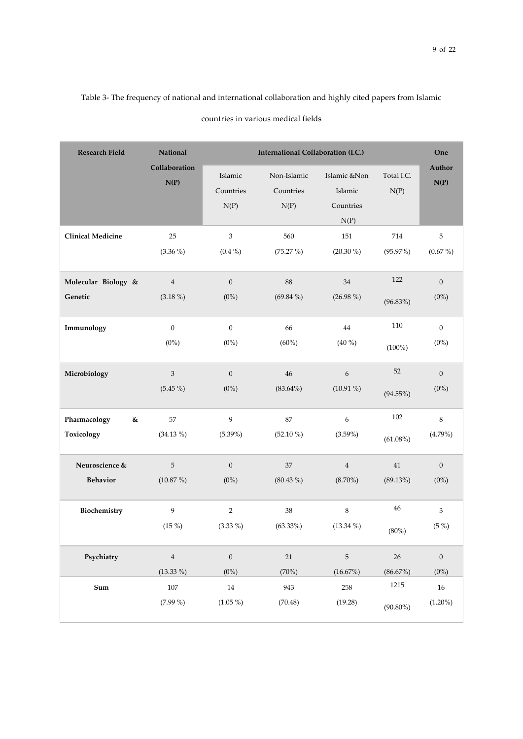## Table 3- The frequency of national and international collaboration and highly cited papers from Islamic countries in various medical fields

| <b>Research Field</b>           | National                  |                              | One                              |                                              |                    |                           |
|---------------------------------|---------------------------|------------------------------|----------------------------------|----------------------------------------------|--------------------|---------------------------|
|                                 | Collaboration<br>N(P)     | Islamic<br>Countries<br>N(P) | Non-Islamic<br>Countries<br>N(P) | Islamic &Non<br>Islamic<br>Countries<br>N(P) | Total I.C.<br>N(P) | Author<br>N(P)            |
| <b>Clinical Medicine</b>        | 25                        | $\ensuremath{\mathsf{3}}$    | 560                              | 151                                          | 714                | $\,$ 5 $\,$               |
|                                 | $(3.36\%)$                | $(0.4\%)$                    | (75.27%)                         | $(20.30\%)$                                  | (95.97%)           | $(0.67\%)$                |
| Molecular Biology &             | $\overline{4}$            | $\mathbf{0}$                 | $88\,$                           | $34\,$                                       | 122                | $\mathbf{0}$              |
| Genetic                         | $(3.18\%)$                | $(0\%)$                      | $(69.84\%)$                      | $(26.98\%)$                                  | $(96.83\%)$        | $(0\%)$                   |
| Immunology                      | $\mathbf{0}$              | $\mathbf{0}$                 | 66                               | 44                                           | 110                | $\overline{0}$            |
|                                 | $(0\%)$                   | $(0\%)$                      | $(60\%)$                         | $(40\%)$                                     | $(100\%)$          | $(0\%)$                   |
| Microbiology                    | $\ensuremath{\mathsf{3}}$ | $\mathbf{0}$                 | $46\,$                           | $\boldsymbol{6}$                             | 52                 | $\boldsymbol{0}$          |
|                                 | $(5.45\%)$                | $(0\%)$                      | $(83.64\%)$                      | $(10.91\%)$                                  | $(94.55\%)$        | $(0\%)$                   |
| Pharmacology<br>&<br>Toxicology | 57<br>$(34.13\%)$         | 9<br>$(5.39\%)$              | 87<br>$(52.10\%)$                | $\boldsymbol{6}$<br>$(3.59\%)$               | 102<br>$(61.08\%)$ | $\,8\,$<br>(4.79%)        |
| Neuroscience &                  | 5                         | $\overline{0}$               | $37\,$                           | $\,4\,$                                      | $41\,$             | $\mathbf{0}$              |
| <b>Behavior</b>                 | $(10.87\%)$               | $(0\%)$                      | $(80.43\%)$                      | $(8.70\%)$                                   | (89.13%)           | $(0\%)$                   |
| Biochemistry                    | $\overline{9}$            | $\sqrt{2}$                   | $38\,$                           | $\,8\,$                                      | 46                 | $\ensuremath{\mathsf{3}}$ |
|                                 | $(15\%)$                  | $(3.33\%)$                   | $(63.33\%)$                      | $(13.34\%)$                                  | (80%)              | $(5\%)$                   |
| Psychiatry                      | $\overline{4}$            | $\boldsymbol{0}$             | $21\,$                           | $\sqrt{5}$                                   | 26                 | $\boldsymbol{0}$          |
|                                 | $(13.33\%)$               | $(0\%)$                      | (70%)                            | (16.67%)                                     | (86.67%)           | $(0\%)$                   |
| Sum                             | $107\,$                   | $14\,$                       | 943                              | 258                                          | 1215               | $16\,$                    |
|                                 | $(7.99\%)$                | $(1.05\%)$                   | (70.48)                          | (19.28)                                      | $(90.80\%)$        | $(1.20\%)$                |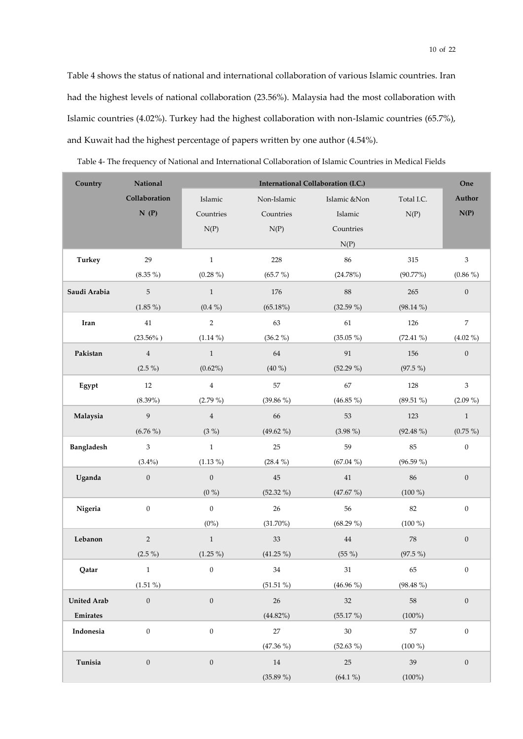Table 4 shows the status of national and international collaboration of various Islamic countries. Iran had the highest levels of national collaboration (23.56%). Malaysia had the most collaboration with Islamic countries (4.02%). Turkey had the highest collaboration with non-Islamic countries (65.7%), and Kuwait had the highest percentage of papers written by one author (4.54%).

| Country            | National         | International Collaboration (I.C.) |             |                   |             |                  |  |  |  |  |  |
|--------------------|------------------|------------------------------------|-------------|-------------------|-------------|------------------|--|--|--|--|--|
|                    | Collaboration    | Islamic                            | Non-Islamic | Islamic &Non      | Total I.C.  | Author           |  |  |  |  |  |
|                    | N(P)             | Countries                          | Countries   | Islamic           | N(P)        | N(P)             |  |  |  |  |  |
|                    |                  | N(P)                               | N(P)        | Countries         |             |                  |  |  |  |  |  |
|                    |                  |                                    |             | N(P)              |             |                  |  |  |  |  |  |
| <b>Turkey</b>      | 29               | $\,1\,$                            | 228         | 86                | 315         | $\mathfrak{Z}$   |  |  |  |  |  |
|                    | $(8.35\%)$       | $(0.28\%)$                         | $(65.7\%)$  | (24.78%)          | (90.77%)    | $(0.86\%)$       |  |  |  |  |  |
| Saudi Arabia       | 5                | $\mathbf{1}$                       | 176         | $88\,$            | 265         | $\boldsymbol{0}$ |  |  |  |  |  |
|                    | $(1.85\%)$       | $(0.4\%)$                          | (65.18%)    | $(32.59\%)$       | $(98.14\%)$ |                  |  |  |  |  |  |
| Iran               | $41\,$           | $\overline{2}$                     | 63          | $61\,$            | 126         | $\boldsymbol{7}$ |  |  |  |  |  |
|                    | $(23.56\%)$      | $(1.14\%)$                         | $(36.2\%)$  | $(35.05\%)$       | $(72.41\%)$ | $(4.02\%)$       |  |  |  |  |  |
| Pakistan           | $\bf{4}$         | $\,1$                              | 64          | $\boldsymbol{91}$ | $156\,$     | $\boldsymbol{0}$ |  |  |  |  |  |
|                    | $(2.5\%)$        | $(0.62\%)$                         | $(40\%)$    | $(52.29\%)$       | $(97.5\%)$  |                  |  |  |  |  |  |
| Egypt              | $12\,$           | $\bf{4}$                           | 57          | 67                | 128         | $\mathfrak{Z}$   |  |  |  |  |  |
|                    | $(8.39\%)$       | $(2.79\%)$                         | $(39.86\%)$ | $(46.85\%)$       | $(89.51\%)$ | $(2.09\%)$       |  |  |  |  |  |
| Malaysia           | 9                | $\bf{4}$                           | 66          | 53                | 123         | $\,1$            |  |  |  |  |  |
|                    | $(6.76\%)$       | $(3\%)$                            | $(49.62\%)$ | $(3.98\%)$        | $(92.48\%)$ | $(0.75\%)$       |  |  |  |  |  |
| <b>Bangladesh</b>  | $\mathfrak{Z}$   | $\,1$                              | 25          | 59                | 85          | $\boldsymbol{0}$ |  |  |  |  |  |
|                    | $(3.4\%)$        | $(1.13\%)$                         | $(28.4\%)$  | $(67.04\%)$       | $(96.59\%)$ |                  |  |  |  |  |  |
| Uganda             | $\boldsymbol{0}$ | $\boldsymbol{0}$                   | $45\,$      | $41\,$            | 86          | $\boldsymbol{0}$ |  |  |  |  |  |
|                    |                  | $(0\%)$                            | $(52.32\%)$ | (47.67%)          | $(100\%)$   |                  |  |  |  |  |  |
| Nigeria            | $\boldsymbol{0}$ | $\boldsymbol{0}$                   | $26\,$      | 56                | 82          | $\boldsymbol{0}$ |  |  |  |  |  |
|                    |                  | $(0\%)$                            | $(31.70\%)$ | $(68.29\%)$       | $(100\%)$   |                  |  |  |  |  |  |
| Lebanon            | $\overline{c}$   | $\mathbf{1}$                       | $33\,$      | $\bf 44$          | ${\bf 78}$  | $\boldsymbol{0}$ |  |  |  |  |  |
|                    | $(2.5\%)$        | $(1.25\%)$                         | $(41.25\%)$ | $(55\%)$          | $(97.5\%)$  |                  |  |  |  |  |  |
| Qatar              | $\mathbf{1}$     | $\boldsymbol{0}$                   | $34\,$      | $31\,$            | 65          | $\boldsymbol{0}$ |  |  |  |  |  |
|                    | $(1.51\%)$       |                                    | $(51.51\%)$ | $(46.96\%)$       | $(98.48\%)$ |                  |  |  |  |  |  |
| <b>United Arab</b> | $\boldsymbol{0}$ | $\boldsymbol{0}$                   | $26\,$      | 32                | $58\,$      | $\boldsymbol{0}$ |  |  |  |  |  |
| Emirates           |                  |                                    | (44.82%)    | (55.17%)          | $(100\%)$   |                  |  |  |  |  |  |
| Indonesia          | $\boldsymbol{0}$ | $\boldsymbol{0}$                   | 27          | $30\,$            | $57\,$      | $\boldsymbol{0}$ |  |  |  |  |  |
|                    |                  |                                    | $(47.36\%)$ | $(52.63\%)$       | $(100\%)$   |                  |  |  |  |  |  |
| Tunisia            | $\boldsymbol{0}$ | $\boldsymbol{0}$                   | $14\,$      | $25\,$            | $39\,$      | $\boldsymbol{0}$ |  |  |  |  |  |
|                    |                  |                                    | $(35.89\%)$ | $(64.1\%)$        | $(100\%)$   |                  |  |  |  |  |  |

Table 4- The frequency of National and International Collaboration of Islamic Countries in Medical Fields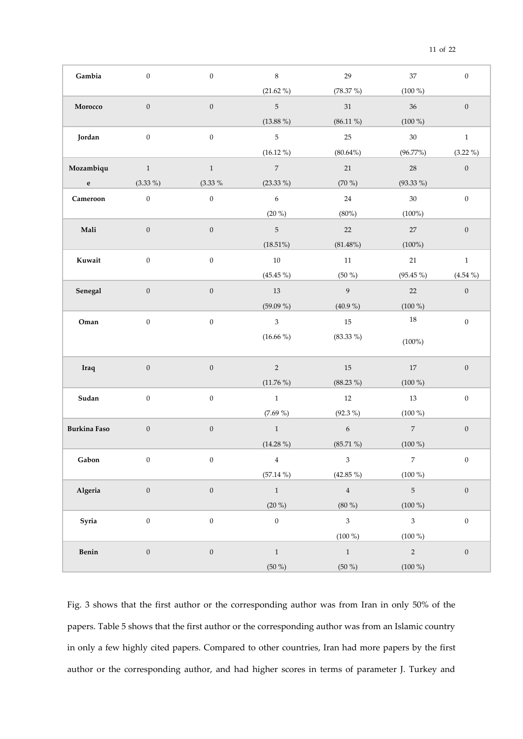| Gambia              | $\boldsymbol{0}$ | $\boldsymbol{0}$ | $\,8\,$                     | $29\,$         | 37             | $\boldsymbol{0}$ |
|---------------------|------------------|------------------|-----------------------------|----------------|----------------|------------------|
|                     |                  |                  | $(21.62\%)$                 | $(78.37\%)$    | $(100\%)$      |                  |
| Morocco             | $\boldsymbol{0}$ | $\boldsymbol{0}$ | $\,$ 5 $\,$                 | $31\,$         | $36\,$         | $\boldsymbol{0}$ |
|                     |                  |                  | $(13.88\%)$                 | $(86.11\%)$    | $(100\%)$      |                  |
| Jordan              | $\boldsymbol{0}$ | $\boldsymbol{0}$ | $\sqrt{5}$                  | $25\,$         | $30\,$         | $1\,$            |
|                     |                  |                  | $(16.12\%)$                 | $(80.64\%)$    | (96.77%)       | $(3.22\%)$       |
| Mozambiqu           | $\mathbf{1}$     | $\,1$            | $\,7$                       | $21\,$         | $28\,$         | $\boldsymbol{0}$ |
| $\mathbf{e}$        | $(3.33\%)$       | $(3.33\%$        | $(23.33\%)$                 | $(70\%)$       | $(93.33\%)$    |                  |
| Cameroon            | $\boldsymbol{0}$ | $\boldsymbol{0}$ | $\sqrt{6}$                  | 24             | $30\,$         | $\boldsymbol{0}$ |
|                     |                  |                  | $(20\%)$                    | (80%)          | $(100\%)$      |                  |
| Mali                | $\boldsymbol{0}$ | $\boldsymbol{0}$ | $\mathbf 5$                 | 22             | $27\,$         | $\boldsymbol{0}$ |
|                     |                  |                  | $(18.51\%)$                 | (81.48%)       | $(100\%)$      |                  |
| Kuwait              | $\boldsymbol{0}$ | $\boldsymbol{0}$ | $10\,$                      | 11             | $21\,$         | $\,1$            |
|                     |                  |                  | $(45.45\%)$                 | $(50\%)$       | $(95.45\%)$    | $(4.54\%)$       |
| Senegal             | $\boldsymbol{0}$ | $\boldsymbol{0}$ | $13\,$                      | $\overline{9}$ | $22\,$         | $\boldsymbol{0}$ |
|                     |                  |                  | $(59.09\%)$                 | $(40.9\%)$     | $(100\%)$      |                  |
| Oman                | $\boldsymbol{0}$ | $\boldsymbol{0}$ | $\ensuremath{\mathfrak{Z}}$ | $15\,$         | $18\,$         | $\boldsymbol{0}$ |
|                     |                  |                  | $(16.66\%)$                 | $(83.33\%)$    | $(100\%)$      |                  |
| Iraq                | $\boldsymbol{0}$ | $\boldsymbol{0}$ | $\sqrt{2}$                  | $15\,$         | $17\,$         | $\boldsymbol{0}$ |
|                     |                  |                  | $(11.76\%)$                 | $(88.23\%)$    | $(100\%)$      |                  |
| Sudan               | $\boldsymbol{0}$ | $\boldsymbol{0}$ | $\,1$                       | 12             | 13             | $\boldsymbol{0}$ |
|                     |                  |                  | $(7.69\%)$                  | $(92.3\%)$     | $(100\%)$      |                  |
| <b>Burkina Faso</b> | $\boldsymbol{0}$ | $\boldsymbol{0}$ | $\,1\,$                     | $\sqrt{6}$     | $\overline{7}$ | $\boldsymbol{0}$ |
|                     |                  |                  | $(14.28\%)$                 | $(85.71\%)$    | $(100\%)$      |                  |
| Gabon               | $\mathbf{0}$     | $\mathbf{0}$     | $\overline{4}$              | 3 <sup>1</sup> | $7^{\circ}$    | $\boldsymbol{0}$ |
|                     |                  |                  | $(57.14\%)$                 | $(42.85\%)$    | $(100\%)$      |                  |
| Algeria             | $\boldsymbol{0}$ | $\boldsymbol{0}$ | $1\,$                       | $\,4$          | $\overline{5}$ | $\boldsymbol{0}$ |
|                     |                  |                  | $(20\%)$                    | $(80\%)$       | $(100\%)$      |                  |
| Syria               | $\boldsymbol{0}$ | $\boldsymbol{0}$ | $\boldsymbol{0}$            | $\mathfrak{Z}$ | $\mathfrak{Z}$ | $\boldsymbol{0}$ |
|                     |                  |                  |                             | $(100\%)$      | $(100\%)$      |                  |
| Benin               | $\boldsymbol{0}$ | $\boldsymbol{0}$ | $\,1\,$                     | $\mathbf{1}$   | $\overline{2}$ | $\boldsymbol{0}$ |
|                     |                  |                  | $(50\%)$                    | $(50\%)$       | $(100\%)$      |                  |

Fig. 3 shows that the first author or the corresponding author was from Iran in only 50% of the papers. Table 5 shows that the first author or the corresponding author was from an Islamic country in only a few highly cited papers. Compared to other countries, Iran had more papers by the first author or the corresponding author, and had higher scores in terms of parameter J. Turkey and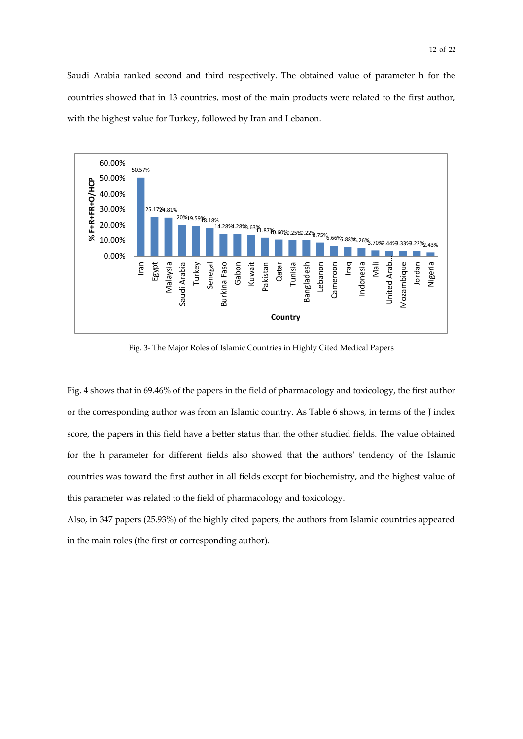Saudi Arabia ranked second and third respectively. The obtained value of parameter h for the countries showed that in 13 countries, most of the main products were related to the first author, with the highest value for Turkey, followed by Iran and Lebanon.



Fig. 3- The Major Roles of Islamic Countries in Highly Cited Medical Papers

Fig. 4 shows that in 69.46% of the papers in the field of pharmacology and toxicology, the first author or the corresponding author was from an Islamic country. As Table 6 shows, in terms of the J index score, the papers in this field have a better status than the other studied fields. The value obtained for the h parameter for different fields also showed that the authors' tendency of the Islamic countries was toward the first author in all fields except for biochemistry, and the highest value of this parameter was related to the field of pharmacology and toxicology.

Also, in 347 papers (25.93%) of the highly cited papers, the authors from Islamic countries appeared in the main roles (the first or corresponding author).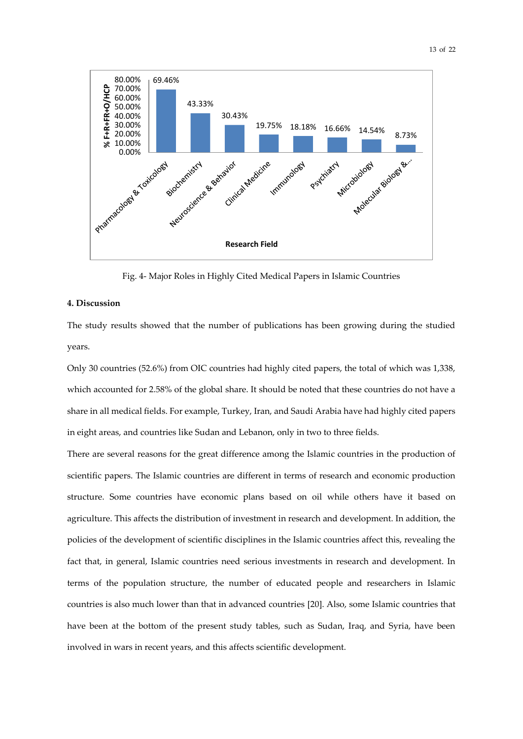

Fig. 4- Major Roles in Highly Cited Medical Papers in Islamic Countries

#### **4. Discussion**

The study results showed that the number of publications has been growing during the studied years.

Only 30 countries (52.6%) from OIC countries had highly cited papers, the total of which was 1,338, which accounted for 2.58% of the global share. It should be noted that these countries do not have a share in all medical fields. For example, Turkey, Iran, and Saudi Arabia have had highly cited papers in eight areas, and countries like Sudan and Lebanon, only in two to three fields.

There are several reasons for the great difference among the Islamic countries in the production of scientific papers. The Islamic countries are different in terms of research and economic production structure. Some countries have economic plans based on oil while others have it based on agriculture. This affects the distribution of investment in research and development. In addition, the policies of the development of scientific disciplines in the Islamic countries affect this, revealing the fact that, in general, Islamic countries need serious investments in research and development. In terms of the population structure, the number of educated people and researchers in Islamic countries is also much lower than that in advanced countries [20]. Also, some Islamic countries that have been at the bottom of the present study tables, such as Sudan, Iraq, and Syria, have been involved in wars in recent years, and this affects scientific development.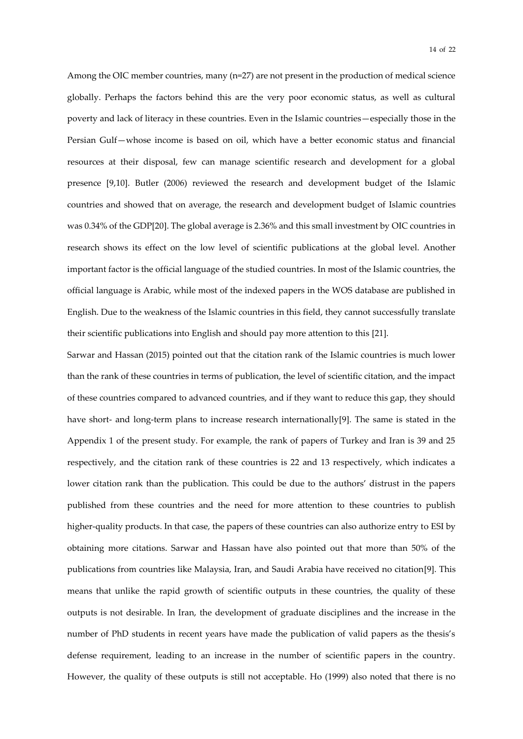Among the OIC member countries, many (n=27) are not present in the production of medical science globally. Perhaps the factors behind this are the very poor economic status, as well as cultural poverty and lack of literacy in these countries. Even in the Islamic countries—especially those in the Persian Gulf—whose income is based on oil, which have a better economic status and financial resources at their disposal, few can manage scientific research and development for a global presence [9,10]. Butler (2006) reviewed the research and development budget of the Islamic countries and showed that on average, the research and development budget of Islamic countries was 0.34% of the GDP[20]. The global average is 2.36% and this small investment by OIC countries in research shows its effect on the low level of scientific publications at the global level. Another important factor is the official language of the studied countries. In most of the Islamic countries, the official language is Arabic, while most of the indexed papers in the WOS database are published in English. Due to the weakness of the Islamic countries in this field, they cannot successfully translate their scientific publications into English and should pay more attention to this [21].

Sarwar and Hassan (2015) pointed out that the citation rank of the Islamic countries is much lower than the rank of these countries in terms of publication, the level of scientific citation, and the impact of these countries compared to advanced countries, and if they want to reduce this gap, they should have short- and long-term plans to increase research internationally[9]. The same is stated in the Appendix 1 of the present study. For example, the rank of papers of Turkey and Iran is 39 and 25 respectively, and the citation rank of these countries is 22 and 13 respectively, which indicates a lower citation rank than the publication. This could be due to the authors' distrust in the papers published from these countries and the need for more attention to these countries to publish higher-quality products. In that case, the papers of these countries can also authorize entry to ESI by obtaining more citations. Sarwar and Hassan have also pointed out that more than 50% of the publications from countries like Malaysia, Iran, and Saudi Arabia have received no citation[9]. This means that unlike the rapid growth of scientific outputs in these countries, the quality of these outputs is not desirable. In Iran, the development of graduate disciplines and the increase in the number of PhD students in recent years have made the publication of valid papers as the thesis's defense requirement, leading to an increase in the number of scientific papers in the country. However, the quality of these outputs is still not acceptable. Ho (1999) also noted that there is no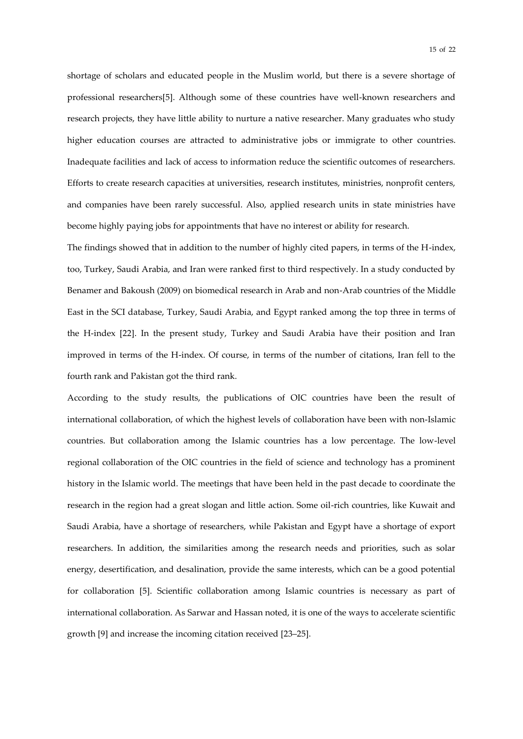shortage of scholars and educated people in the Muslim world, but there is a severe shortage of professional researchers[5]. Although some of these countries have well-known researchers and research projects, they have little ability to nurture a native researcher. Many graduates who study higher education courses are attracted to administrative jobs or immigrate to other countries. Inadequate facilities and lack of access to information reduce the scientific outcomes of researchers. Efforts to create research capacities at universities, research institutes, ministries, nonprofit centers, and companies have been rarely successful. Also, applied research units in state ministries have become highly paying jobs for appointments that have no interest or ability for research.

The findings showed that in addition to the number of highly cited papers, in terms of the H-index, too, Turkey, Saudi Arabia, and Iran were ranked first to third respectively. In a study conducted by Benamer and Bakoush (2009) on biomedical research in Arab and non-Arab countries of the Middle East in the SCI database, Turkey, Saudi Arabia, and Egypt ranked among the top three in terms of the H-index [22]. In the present study, Turkey and Saudi Arabia have their position and Iran improved in terms of the H-index. Of course, in terms of the number of citations, Iran fell to the fourth rank and Pakistan got the third rank.

According to the study results, the publications of OIC countries have been the result of international collaboration, of which the highest levels of collaboration have been with non-Islamic countries. But collaboration among the Islamic countries has a low percentage. The low-level regional collaboration of the OIC countries in the field of science and technology has a prominent history in the Islamic world. The meetings that have been held in the past decade to coordinate the research in the region had a great slogan and little action. Some oil-rich countries, like Kuwait and Saudi Arabia, have a shortage of researchers, while Pakistan and Egypt have a shortage of export researchers. In addition, the similarities among the research needs and priorities, such as solar energy, desertification, and desalination, provide the same interests, which can be a good potential for collaboration [5]. Scientific collaboration among Islamic countries is necessary as part of international collaboration. As Sarwar and Hassan noted, it is one of the ways to accelerate scientific growth [9] and increase the incoming citation received [23–25].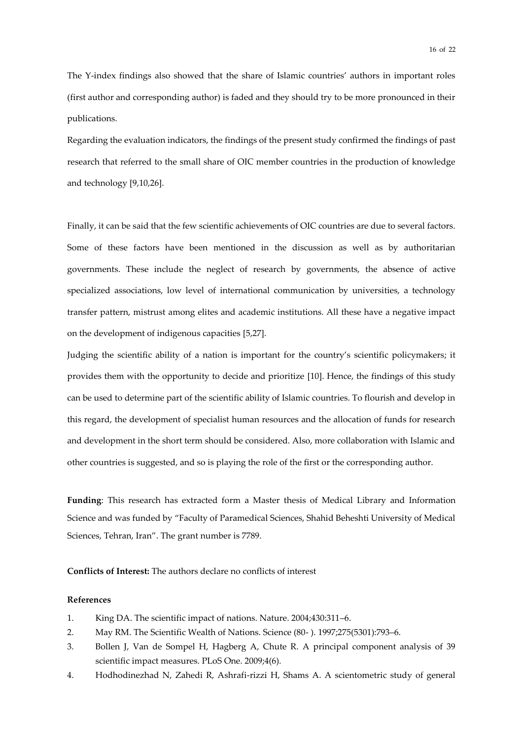The Y-index findings also showed that the share of Islamic countries' authors in important roles (first author and corresponding author) is faded and they should try to be more pronounced in their publications.

Regarding the evaluation indicators, the findings of the present study confirmed the findings of past research that referred to the small share of OIC member countries in the production of knowledge and technology [9,10,26].

Finally, it can be said that the few scientific achievements of OIC countries are due to several factors. Some of these factors have been mentioned in the discussion as well as by authoritarian governments. These include the neglect of research by governments, the absence of active specialized associations, low level of international communication by universities, a technology transfer pattern, mistrust among elites and academic institutions. All these have a negative impact on the development of indigenous capacities [5,27].

Judging the scientific ability of a nation is important for the country's scientific policymakers; it provides them with the opportunity to decide and prioritize [10]. Hence, the findings of this study can be used to determine part of the scientific ability of Islamic countries. To flourish and develop in this regard, the development of specialist human resources and the allocation of funds for research and development in the short term should be considered. Also, more collaboration with Islamic and other countries is suggested, and so is playing the role of the first or the corresponding author.

**Funding**: This research has extracted form a Master thesis of Medical Library and Information Science and was funded by "Faculty of Paramedical Sciences, Shahid Beheshti University of Medical Sciences, Tehran, Iran". The grant number is 7789.

#### **Conflicts of Interest:** The authors declare no conflicts of interest

#### **References**

- 1. King DA. The scientific impact of nations. Nature. 2004;430:311–6.
- 2. May RM. The Scientific Wealth of Nations. Science (80- ). 1997;275(5301):793–6.
- 3. Bollen J, Van de Sompel H, Hagberg A, Chute R. A principal component analysis of 39 scientific impact measures. PLoS One. 2009;4(6).
- 4. Hodhodinezhad N, Zahedi R, Ashrafi-rizzi H, Shams A. A scientometric study of general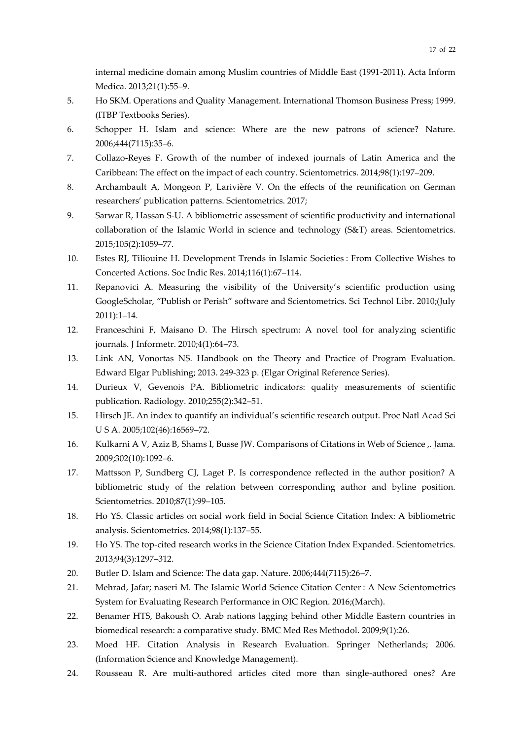internal medicine domain among Muslim countries of Middle East (1991-2011). Acta Inform Medica. 2013;21(1):55–9.

- 5. Ho SKM. Operations and Quality Management. International Thomson Business Press; 1999. (ITBP Textbooks Series).
- 6. Schopper H. Islam and science: Where are the new patrons of science? Nature. 2006;444(7115):35–6.
- 7. Collazo-Reyes F. Growth of the number of indexed journals of Latin America and the Caribbean: The effect on the impact of each country. Scientometrics. 2014;98(1):197–209.
- 8. Archambault A, Mongeon P, Larivière V. On the effects of the reunification on German researchers' publication patterns. Scientometrics. 2017;
- 9. Sarwar R, Hassan S-U. A bibliometric assessment of scientific productivity and international collaboration of the Islamic World in science and technology (S&T) areas. Scientometrics. 2015;105(2):1059–77.
- 10. Estes RJ, Tiliouine H. Development Trends in Islamic Societies : From Collective Wishes to Concerted Actions. Soc Indic Res. 2014;116(1):67–114.
- 11. Repanovici A. Measuring the visibility of the University's scientific production using GoogleScholar, "Publish or Perish" software and Scientometrics. Sci Technol Libr. 2010;(July 2011):1–14.
- 12. Franceschini F, Maisano D. The Hirsch spectrum: A novel tool for analyzing scientific journals. J Informetr. 2010;4(1):64–73.
- 13. Link AN, Vonortas NS. Handbook on the Theory and Practice of Program Evaluation. Edward Elgar Publishing; 2013. 249-323 p. (Elgar Original Reference Series).
- 14. Durieux V, Gevenois PA. Bibliometric indicators: quality measurements of scientific publication. Radiology. 2010;255(2):342–51.
- 15. Hirsch JE. An index to quantify an individual's scientific research output. Proc Natl Acad Sci U S A. 2005;102(46):16569–72.
- 16. Kulkarni A V, Aziz B, Shams I, Busse JW. Comparisons of Citations in Web of Science ,. Jama. 2009;302(10):1092–6.
- 17. Mattsson P, Sundberg CJ, Laget P. Is correspondence reflected in the author position? A bibliometric study of the relation between corresponding author and byline position. Scientometrics. 2010;87(1):99–105.
- 18. Ho YS. Classic articles on social work field in Social Science Citation Index: A bibliometric analysis. Scientometrics. 2014;98(1):137–55.
- 19. Ho YS. The top-cited research works in the Science Citation Index Expanded. Scientometrics. 2013;94(3):1297–312.
- 20. Butler D. Islam and Science: The data gap. Nature. 2006;444(7115):26–7.
- 21. Mehrad, Jafar; naseri M. The Islamic World Science Citation Center : A New Scientometrics System for Evaluating Research Performance in OIC Region. 2016;(March).
- 22. Benamer HTS, Bakoush O. Arab nations lagging behind other Middle Eastern countries in biomedical research: a comparative study. BMC Med Res Methodol. 2009;9(1):26.
- 23. Moed HF. Citation Analysis in Research Evaluation. Springer Netherlands; 2006. (Information Science and Knowledge Management).
- 24. Rousseau R. Are multi-authored articles cited more than single-authored ones? Are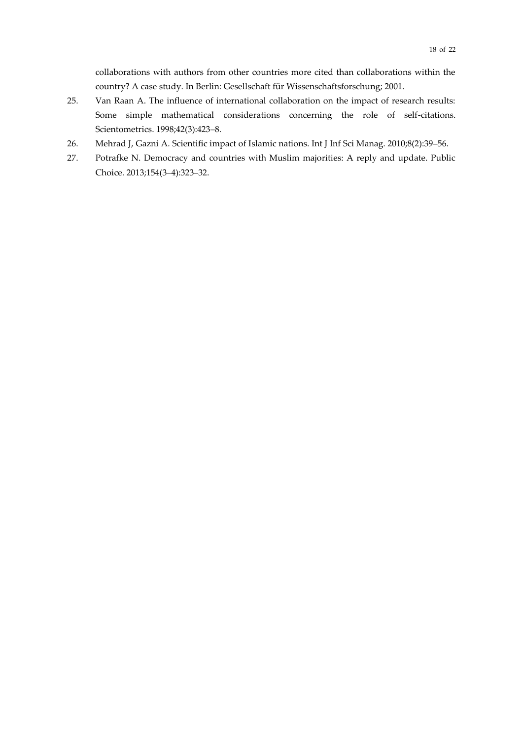collaborations with authors from other countries more cited than collaborations within the country? A case study. In Berlin: Gesellschaft für Wissenschaftsforschung; 2001.

- 25. Van Raan A. The influence of international collaboration on the impact of research results: Some simple mathematical considerations concerning the role of self-citations. Scientometrics. 1998;42(3):423–8.
- 26. Mehrad J, Gazni A. Scientific impact of Islamic nations. Int J Inf Sci Manag. 2010;8(2):39–56.
- 27. Potrafke N. Democracy and countries with Muslim majorities: A reply and update. Public Choice. 2013;154(3–4):323–32.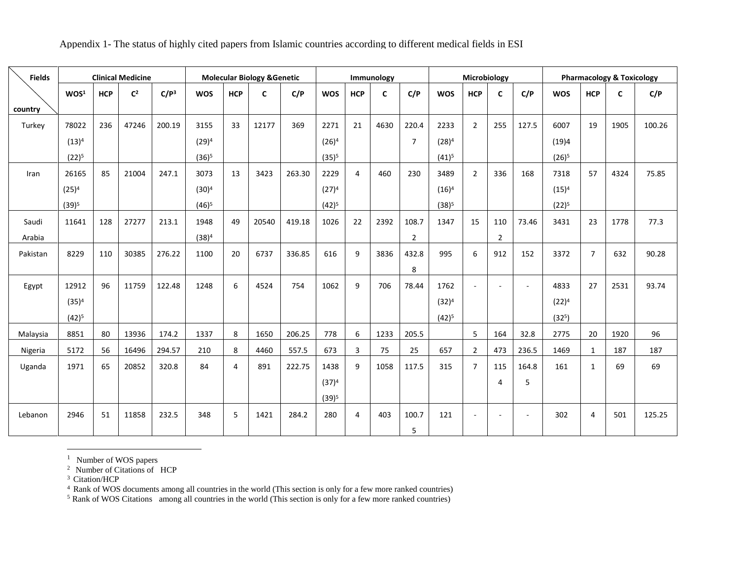| Appendix 1- The status of highly cited papers from Islamic countries according to different medical fields in ESI |  |  |
|-------------------------------------------------------------------------------------------------------------------|--|--|

| <b>Fields</b> | <b>Clinical Medicine</b> |            |                |                  | <b>Molecular Biology &amp; Genetic</b> |                |       |        |            |                | Immunology   |                |            | Microbiology   |                |        | <b>Pharmacology &amp; Toxicology</b> |                |              |        |
|---------------|--------------------------|------------|----------------|------------------|----------------------------------------|----------------|-------|--------|------------|----------------|--------------|----------------|------------|----------------|----------------|--------|--------------------------------------|----------------|--------------|--------|
|               | WOS <sup>1</sup>         | <b>HCP</b> | C <sup>2</sup> | C/P <sup>3</sup> | <b>WOS</b>                             | <b>HCP</b>     | C     | C/P    | <b>WOS</b> | <b>HCP</b>     | $\mathsf{C}$ | C/P            | <b>WOS</b> | <b>HCP</b>     | $\mathsf{C}$   | C/P    | <b>WOS</b>                           | <b>HCP</b>     | $\mathsf{C}$ | C/P    |
| country       |                          |            |                |                  |                                        |                |       |        |            |                |              |                |            |                |                |        |                                      |                |              |        |
| Turkey        | 78022                    | 236        | 47246          | 200.19           | 3155                                   | 33             | 12177 | 369    | 2271       | 21             | 4630         | 220.4          | 2233       | $\overline{2}$ | 255            | 127.5  | 6007                                 | 19             | 1905         | 100.26 |
|               | $(13)^4$                 |            |                |                  | $(29)^4$                               |                |       |        | $(26)^4$   |                |              | $\overline{7}$ | $(28)^4$   |                |                |        | (19)4                                |                |              |        |
|               | $(22)^5$                 |            |                |                  | $(36)^5$                               |                |       |        | $(35)^5$   |                |              |                | $(41)^5$   |                |                |        | $(26)^5$                             |                |              |        |
| Iran          | 26165                    | 85         | 21004          | 247.1            | 3073                                   | 13             | 3423  | 263.30 | 2229       | $\overline{4}$ | 460          | 230            | 3489       | $\overline{2}$ | 336            | 168    | 7318                                 | 57             | 4324         | 75.85  |
|               | $(25)^4$                 |            |                |                  | $(30)^4$                               |                |       |        | $(27)^4$   |                |              |                | $(16)^4$   |                |                |        | $(15)^4$                             |                |              |        |
|               | $(39)^5$                 |            |                |                  | $(46)^5$                               |                |       |        | $(42)^5$   |                |              |                | $(38)^5$   |                |                |        | $(22)^5$                             |                |              |        |
| Saudi         | 11641                    | 128        | 27277          | 213.1            | 1948                                   | 49             | 20540 | 419.18 | 1026       | 22             | 2392         | 108.7          | 1347       | 15             | 110            | 73.46  | 3431                                 | 23             | 1778         | 77.3   |
| Arabia        |                          |            |                |                  | $(38)^4$                               |                |       |        |            |                |              | $\overline{2}$ |            |                | $\overline{2}$ |        |                                      |                |              |        |
| Pakistan      | 8229                     | 110        | 30385          | 276.22           | 1100                                   | 20             | 6737  | 336.85 | 616        | 9              | 3836         | 432.8          | 995        | 6              | 912            | 152    | 3372                                 | $\overline{7}$ | 632          | 90.28  |
|               |                          |            |                |                  |                                        |                |       |        |            |                |              | 8              |            |                |                |        |                                      |                |              |        |
| Egypt         | 12912                    | 96         | 11759          | 122.48           | 1248                                   | 6              | 4524  | 754    | 1062       | 9              | 706          | 78.44          | 1762       | $\sim$         | ÷.             | $\sim$ | 4833                                 | 27             | 2531         | 93.74  |
|               | $(35)^4$                 |            |                |                  |                                        |                |       |        |            |                |              |                | $(32)^4$   |                |                |        | $(22)^4$                             |                |              |        |
|               | $(42)^5$                 |            |                |                  |                                        |                |       |        |            |                |              |                | $(42)^5$   |                |                |        | (32 <sup>5</sup> )                   |                |              |        |
| Malaysia      | 8851                     | 80         | 13936          | 174.2            | 1337                                   | 8              | 1650  | 206.25 | 778        | 6              | 1233         | 205.5          |            | 5              | 164            | 32.8   | 2775                                 | 20             | 1920         | 96     |
| Nigeria       | 5172                     | 56         | 16496          | 294.57           | 210                                    | 8              | 4460  | 557.5  | 673        | $\mathbf{3}$   | 75           | 25             | 657        | $\overline{2}$ | 473            | 236.5  | 1469                                 | $\mathbf{1}$   | 187          | 187    |
| Uganda        | 1971                     | 65         | 20852          | 320.8            | 84                                     | $\overline{a}$ | 891   | 222.75 | 1438       | 9              | 1058         | 117.5          | 315        | $\overline{7}$ | 115            | 164.8  | 161                                  | $\mathbf{1}$   | 69           | 69     |
|               |                          |            |                |                  |                                        |                |       |        | $(37)^4$   |                |              |                |            |                | $\overline{4}$ | 5      |                                      |                |              |        |
|               |                          |            |                |                  |                                        |                |       |        | $(39)^5$   |                |              |                |            |                |                |        |                                      |                |              |        |
| Lebanon       | 2946                     | 51         | 11858          | 232.5            | 348                                    | 5              | 1421  | 284.2  | 280        | 4              | 403          | 100.7          | 121        | $\sim$         | $\sim$         | $\sim$ | 302                                  | 4              | 501          | 125.25 |
|               |                          |            |                |                  |                                        |                |       |        |            |                |              | 5              |            |                |                |        |                                      |                |              |        |

 $<sup>1</sup>$  Number of WOS papers</sup>

<sup>2</sup> Number of Citations of HCP

<sup>3</sup> Citation/HCP

 $\overline{a}$ 

<sup>4</sup> Rank of WOS documents among all countries in the world (This section is only for a few more ranked countries)

 $<sup>5</sup>$  Rank of WOS Citations among all countries in the world (This section is only for a few more ranked countries)</sup>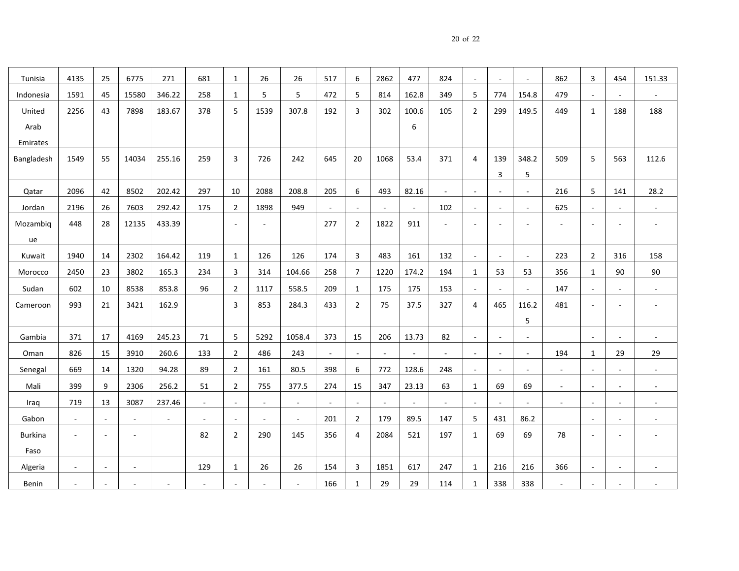|--|--|--|

| Tunisia        | 4135         | 25     | 6775         | 271    | 681            | 1                        | 26     | 26     | 517 | 6                        | 2862                     | 477    | 824    | $\sim$                   | $\blacksquare$           | $\overline{\phantom{a}}$ | 862                      | 3                        | 454                      | 151.33                   |
|----------------|--------------|--------|--------------|--------|----------------|--------------------------|--------|--------|-----|--------------------------|--------------------------|--------|--------|--------------------------|--------------------------|--------------------------|--------------------------|--------------------------|--------------------------|--------------------------|
| Indonesia      | 1591         | 45     | 15580        | 346.22 | 258            | 1                        | 5      | 5      | 472 | 5                        | 814                      | 162.8  | 349    | 5                        | 774                      | 154.8                    | 479                      | $\overline{\phantom{a}}$ | ÷                        |                          |
| United         | 2256         | 43     | 7898         | 183.67 | 378            | 5                        | 1539   | 307.8  | 192 | 3                        | 302                      | 100.6  | 105    | $\overline{2}$           | 299                      | 149.5                    | 449                      | 1                        | 188                      | 188                      |
| Arab           |              |        |              |        |                |                          |        |        |     |                          |                          | 6      |        |                          |                          |                          |                          |                          |                          |                          |
| Emirates       |              |        |              |        |                |                          |        |        |     |                          |                          |        |        |                          |                          |                          |                          |                          |                          |                          |
| Bangladesh     | 1549         | 55     | 14034        | 255.16 | 259            | 3                        | 726    | 242    | 645 | 20                       | 1068                     | 53.4   | 371    | 4                        | 139                      | 348.2                    | 509                      | 5                        | 563                      | 112.6                    |
|                |              |        |              |        |                |                          |        |        |     |                          |                          |        |        |                          | 3                        | 5                        |                          |                          |                          |                          |
| Qatar          | 2096         | 42     | 8502         | 202.42 | 297            | 10                       | 2088   | 208.8  | 205 | 6                        | 493                      | 82.16  | $\sim$ | $\sim$                   | $\sim$                   | $\overline{\phantom{a}}$ | 216                      | 5                        | 141                      | 28.2                     |
| Jordan         | 2196         | 26     | 7603         | 292.42 | 175            | $\overline{2}$           | 1898   | 949    |     | $\sim$                   |                          | $\sim$ | 102    | $\mathcal{L}$            | $\sim$                   | $\mathbb{L}$             | 625                      | $\overline{\phantom{a}}$ | $\sim$                   | $\overline{\phantom{a}}$ |
| Mozambiq       | 448          | 28     | 12135        | 433.39 |                |                          |        |        | 277 | $\overline{2}$           | 1822                     | 911    | ٠      | $\overline{\phantom{a}}$ |                          |                          |                          |                          |                          |                          |
| ue             |              |        |              |        |                |                          |        |        |     |                          |                          |        |        |                          |                          |                          |                          |                          |                          |                          |
| Kuwait         | 1940         | 14     | 2302         | 164.42 | 119            | 1                        | 126    | 126    | 174 | 3                        | 483                      | 161    | 132    | $\mathcal{L}$            |                          | $\blacksquare$           | 223                      | 2                        | 316                      | 158                      |
| Morocco        | 2450         | 23     | 3802         | 165.3  | 234            | 3                        | 314    | 104.66 | 258 | $\overline{7}$           | 1220                     | 174.2  | 194    | $\mathbf{1}$             | 53                       | 53                       | 356                      | 1                        | 90                       | 90                       |
| Sudan          | 602          | 10     | 8538         | 853.8  | 96             | $\overline{2}$           | 1117   | 558.5  | 209 | 1                        | 175                      | 175    | 153    | $\sim$                   | $\sim$                   | $\blacksquare$           | 147                      | $\overline{\phantom{a}}$ | $\blacksquare$           | $\blacksquare$           |
| Cameroon       | 993          | 21     | 3421         | 162.9  |                | 3                        | 853    | 284.3  | 433 | $\overline{2}$           | 75                       | 37.5   | 327    | 4                        | 465                      | 116.2                    | 481                      | $\overline{a}$           | $\overline{a}$           |                          |
|                |              |        |              |        |                |                          |        |        |     |                          |                          |        |        |                          |                          | 5                        |                          |                          |                          |                          |
| Gambia         | 371          | 17     | 4169         | 245.23 | 71             | 5                        | 5292   | 1058.4 | 373 | 15                       | 206                      | 13.73  | 82     | $\sim$                   | $\overline{\phantom{a}}$ | $\sim$                   |                          |                          |                          |                          |
| Oman           | 826          | 15     | 3910         | 260.6  | 133            | $\overline{2}$           | 486    | 243    |     | $\overline{\phantom{a}}$ | $\overline{\phantom{a}}$ |        | $\sim$ | $\overline{\phantom{a}}$ | $\overline{\phantom{a}}$ | $\overline{\phantom{a}}$ | 194                      | 1                        | 29                       | 29                       |
| Senegal        | 669          | 14     | 1320         | 94.28  | 89             | $\overline{2}$           | 161    | 80.5   | 398 | 6                        | 772                      | 128.6  | 248    | $\sim$                   | $\sim$                   | $\sim$                   | $\sim$                   | $\overline{\phantom{a}}$ | $\sim$                   | $\sim$                   |
| Mali           | 399          | 9      | 2306         | 256.2  | 51             | 2                        | 755    | 377.5  | 274 | 15                       | 347                      | 23.13  | 63     | $\mathbf{1}$             | 69                       | 69                       | $\overline{\phantom{a}}$ | $\blacksquare$           | $\overline{\phantom{a}}$ |                          |
| Iraq           | 719          | 13     | 3087         | 237.46 |                | $\sim$                   |        | $\sim$ |     |                          |                          |        |        |                          |                          | $\sim$                   | $\sim$                   | $\sim$                   | $\overline{\phantom{a}}$ | $\overline{\phantom{a}}$ |
| Gabon          | $\mathbb{L}$ | $\sim$ | $\mathbf{u}$ | $\sim$ | $\blacksquare$ | $\blacksquare$           | $\sim$ | $\sim$ | 201 | $\overline{2}$           | 179                      | 89.5   | 147    | $5\phantom{.0}$          | 431                      | 86.2                     |                          | $\sim$                   | ÷,                       | $\overline{\phantom{a}}$ |
| <b>Burkina</b> |              |        | $\sim$       |        | 82             | $\overline{2}$           | 290    | 145    | 356 | 4                        | 2084                     | 521    | 197    | $\mathbf{1}$             | 69                       | 69                       | 78                       | ÷,                       | ÷                        |                          |
| Faso           |              |        |              |        |                |                          |        |        |     |                          |                          |        |        |                          |                          |                          |                          |                          |                          |                          |
| Algeria        | $\sim$       |        |              |        | 129            | 1                        | 26     | 26     | 154 | 3                        | 1851                     | 617    | 247    | $\mathbf{1}$             | 216                      | 216                      | 366                      | $\overline{a}$           |                          |                          |
| Benin          | $\sim$       |        |              |        |                | $\overline{\phantom{a}}$ |        | $\sim$ | 166 | $\mathbf{1}$             | 29                       | 29     | 114    | $\mathbf{1}$             | 338                      | 338                      | ÷                        | $\sim$                   | $\overline{a}$           |                          |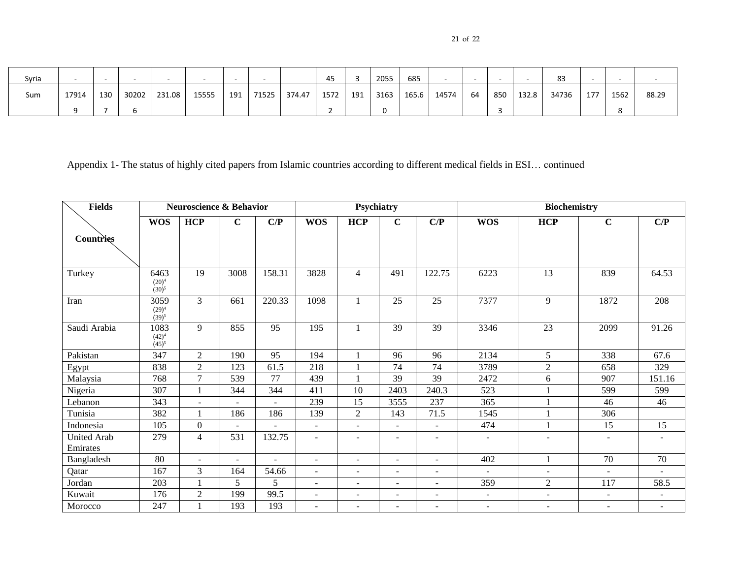| × | I |  |
|---|---|--|
|---|---|--|

| Syria | $\overline{\phantom{a}}$ |     |       |        |       |     |       |        | 45   |     | 2055 | 685   |       |    |     |       | 83    |     |      |       |
|-------|--------------------------|-----|-------|--------|-------|-----|-------|--------|------|-----|------|-------|-------|----|-----|-------|-------|-----|------|-------|
| Sum   | 17914                    | 130 | 30202 | 231.08 | 15555 | 191 | 71525 | 374.47 | 1572 | 191 | 3163 | 165.6 | 14574 | 64 | 850 | 132.8 | 34736 | 177 | 1562 | 88.29 |
|       |                          |     |       |        |       |     |       |        |      |     |      |       |       |    |     |       |       |     |      |       |

Appendix 1- The status of highly cited papers from Islamic countries according to different medical fields in ESI… continued

| <b>Fields</b>                  |                                | <b>Neuroscience &amp; Behavior</b> |                          |                | Psychiatry               |                          |                          |                          | <b>Biochemistry</b>      |                          |                          |                          |  |
|--------------------------------|--------------------------------|------------------------------------|--------------------------|----------------|--------------------------|--------------------------|--------------------------|--------------------------|--------------------------|--------------------------|--------------------------|--------------------------|--|
|                                | <b>WOS</b>                     | HCP                                | $\mathbf C$              | C/P            | <b>WOS</b>               | <b>HCP</b>               | $\mathbf C$              | C/P                      | <b>WOS</b>               | HCP                      | $\mathbf C$              | C/P                      |  |
| Countries                      |                                |                                    |                          |                |                          |                          |                          |                          |                          |                          |                          |                          |  |
| Turkey                         | 6463<br>$(20)^4$<br>$(30)^{5}$ | 19                                 | 3008                     | 158.31         | 3828                     | $\overline{4}$           | 491                      | 122.75                   | 6223                     | 13                       | 839                      | 64.53                    |  |
| Iran                           | 3059<br>$(29)^4$<br>$(39)^5$   | 3                                  | 661                      | 220.33         | 1098                     | 1                        | 25                       | 25                       | 7377                     | 9                        | 1872                     | 208                      |  |
| Saudi Arabia                   | 1083<br>$(42)^4$<br>$(45)^{5}$ | 9                                  | 855                      | 95             | 195                      | 1                        | 39                       | 39                       | 3346                     | 23                       | 2099                     | 91.26                    |  |
| Pakistan                       | 347                            | $\overline{2}$                     | 190                      | 95             | 194                      | 1                        | 96                       | 96                       | 2134                     | 5                        | 338                      | 67.6                     |  |
| Egypt                          | 838                            | $\overline{2}$                     | 123                      | 61.5           | 218                      | 1                        | 74                       | 74                       | 3789                     | $\overline{2}$           | 658                      | 329                      |  |
| Malaysia                       | 768                            | 7                                  | 539                      | 77             | 439                      | $\mathbf{1}$             | 39                       | 39                       | 2472                     | 6                        | 907                      | 151.16                   |  |
| Nigeria                        | 307                            |                                    | 344                      | 344            | 411                      | 10                       | 2403                     | 240.3                    | 523                      |                          | 599                      | 599                      |  |
| Lebanon                        | 343                            | $\sim$                             | ٠                        |                | 239                      | 15                       | 3555                     | 237                      | 365                      |                          | 46                       | 46                       |  |
| Tunisia                        | 382                            |                                    | 186                      | 186            | 139                      | $\overline{2}$           | 143                      | 71.5                     | 1545                     |                          | 306                      |                          |  |
| Indonesia                      | 105                            | $\boldsymbol{0}$                   |                          |                | $\overline{\phantom{a}}$ | ÷                        |                          | $\blacksquare$           | 474                      |                          | 15                       | 15                       |  |
| <b>United Arab</b><br>Emirates | 279                            | $\overline{4}$                     | 531                      | 132.75         | $\overline{\phantom{a}}$ | $\overline{\phantom{a}}$ | $\overline{\phantom{a}}$ | $\blacksquare$           | $\overline{\phantom{a}}$ | $\overline{\phantom{a}}$ | ٠                        | $\blacksquare$           |  |
| Bangladesh                     | 80                             | $\overline{a}$                     | $\overline{\phantom{a}}$ | $\overline{a}$ | $\blacksquare$           | $\sim$                   | $\overline{\phantom{a}}$ | $\blacksquare$           | 402                      | 1                        | 70                       | 70                       |  |
| Qatar                          | 167                            | 3                                  | 164                      | 54.66          | $\blacksquare$           |                          | $\overline{\phantom{a}}$ | $\overline{\phantom{a}}$ |                          |                          |                          |                          |  |
| Jordan                         | 203                            |                                    | 5                        | 5              | $\overline{\phantom{a}}$ | $\sim$                   | $\overline{\phantom{a}}$ | $\sim$                   | 359                      | $\boldsymbol{2}$         | 117                      | 58.5                     |  |
| Kuwait                         | 176                            | $\overline{2}$                     | 199                      | 99.5           | $\overline{\phantom{a}}$ | $\overline{\phantom{a}}$ | $\overline{\phantom{a}}$ | $\overline{\phantom{a}}$ | $\sim$                   | $\sim$                   | $\overline{\phantom{a}}$ |                          |  |
| Morocco                        | 247                            |                                    | 193                      | 193            | $\overline{\phantom{a}}$ | $\overline{\phantom{a}}$ | $\overline{\phantom{a}}$ | $\blacksquare$           | $\sim$                   | $\sim$                   | $\overline{\phantom{a}}$ | $\overline{\phantom{a}}$ |  |